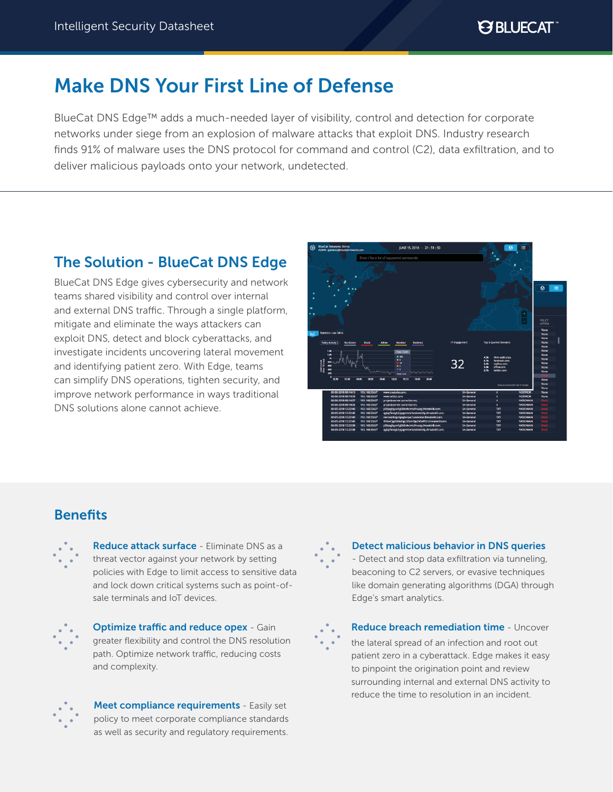**PS BLUECAT** 

# Make DNS Your First Line of Defense

BlueCat DNS Edge™ adds a much-needed layer of visibility, control and detection for corporate networks under siege from an explosion of malware attacks that exploit DNS. Industry research finds 91% of malware uses the DNS protocol for command and control (C2), data exfiltration, and to deliver malicious payloads onto your network, undetected.

# The Solution - BlueCat DNS Edge

BlueCat DNS Edge gives cybersecurity and network teams shared visibility and control over internal and external DNS traffic. Through a single platform, mitigate and eliminate the ways attackers can exploit DNS, detect and block cyberattacks, and investigate incidents uncovering lateral movement and identifying patient zero. With Edge, teams can simplify DNS operations, tighten security, and improve network performance in ways traditional DNS solutions alone cannot achieve.



# **Benefits**



Reduce attack surface - Eliminate DNS as a threat vector against your network by setting policies with Edge to limit access to sensitive data and lock down critical systems such as point-ofsale terminals and IoT devices.



**Optimize traffic and reduce opex - Gain** greater flexibility and control the DNS resolution path. Optimize network traffic, reducing costs and complexity.



Meet compliance requirements - Easily set policy to meet corporate compliance standards as well as security and regulatory requirements.

Detect malicious behavior in DNS queries - Detect and stop data exfiltration via tunneling, beaconing to C2 servers, or evasive techniques like domain generating algorithms (DGA) through Edge's smart analytics.



Reduce breach remediation time - Uncover the lateral spread of an infection and root out patient zero in a cyberattack. Edge makes it easy to pinpoint the origination point and review surrounding internal and external DNS activity to reduce the time to resolution in an incident.